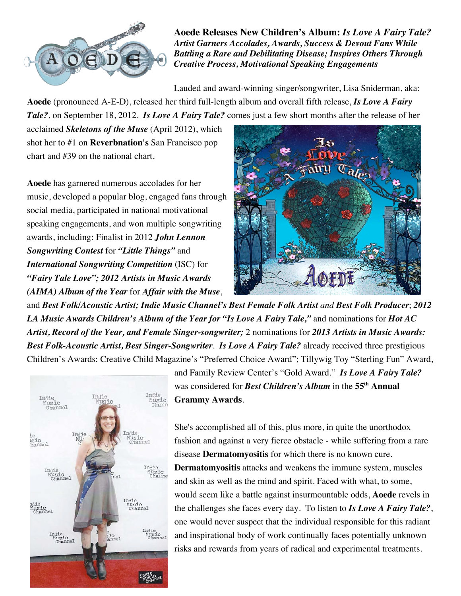

**Aoede Releases New Children's Album:** *Is Love A Fairy Tale? Artist Garners Accolades, Awards, Success & Devout Fans While Battling a Rare and Debilitating Disease; Inspires Others Through Creative Process, Motivational Speaking Engagements*

Lauded and award-winning singer/songwriter, Lisa Sniderman, aka:

**Aoede** (pronounced A-E-D), released her third full-length album and overall fifth release, *Is Love A Fairy Tale?*, on September 18, 2012. *Is Love A Fairy Tale?* comes just a few short months after the release of her

acclaimed *Skeletons of the Muse* (April 2012), which shot her to #1 on **Reverbnation's** San Francisco pop chart and #39 on the national chart.

**Aoede** has garnered numerous accolades for her music, developed a popular blog, engaged fans through social media, participated in national motivational speaking engagements, and won multiple songwriting awards, including: Finalist in 2012 *John Lennon Songwriting Contest* for *"Little Things"* and *International Songwriting Competition* (ISC) for *"Fairy Tale Love"; 2012 Artists in Music Awards (AIMA) Album of the Year* for *Affair with the Muse*,



and *Best Folk/Acoustic Artist; Indie Music Channel's Best Female Folk Artist and Best Folk Producer*; *2012 LA Music Awards Children's Album of the Year for "Is Love A Fairy Tale,"* and nominations for *Hot AC Artist, Record of the Year, and Female Singer-songwriter;* 2 nominations for *2013 Artists in Music Awards: Best Folk-Acoustic Artist, Best Singer-Songwriter*. *Is Love A Fairy Tale?* already received three prestigious Children's Awards: Creative Child Magazine's "Preferred Choice Award"; Tillywig Toy "Sterling Fun" Award,



and Family Review Center's "Gold Award." *Is Love A Fairy Tale?* was considered for *Best Children's Album* in the **55th Annual Grammy Awards**.

She's accomplished all of this, plus more, in quite the unorthodox fashion and against a very fierce obstacle - while suffering from a rare disease **Dermatomyositis** for which there is no known cure. **Dermatomyositis** attacks and weakens the immune system, muscles and skin as well as the mind and spirit. Faced with what, to some, would seem like a battle against insurmountable odds, **Aoede** revels in the challenges she faces every day. To listen to *Is Love A Fairy Tale?*, one would never suspect that the individual responsible for this radiant and inspirational body of work continually faces potentially unknown risks and rewards from years of radical and experimental treatments.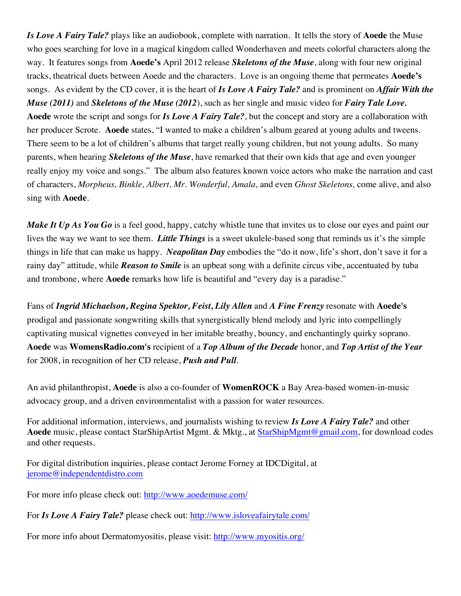*Is Love A Fairy Tale?* plays like an audiobook, complete with narration. It tells the story of **Aoede** the Muse who goes searching for love in a magical kingdom called Wonderhaven and meets colorful characters along the way. It features songs from **Aoede's** April 2012 release *Skeletons of the Muse*, along with four new original tracks, theatrical duets between Aoede and the characters. Love is an ongoing theme that permeates **Aoede's** songs. As evident by the CD cover, it is the heart of *Is Love A Fairy Tale?* and is prominent on *Affair With the Muse (2011)* and *Skeletons of the Muse (2012*), such as her single and music video for *Fairy Tale Love.* **Aoede** wrote the script and songs for *Is Love A Fairy Tale?*, but the concept and story are a collaboration with her producer Scrote. **Aoede** states, "I wanted to make a children's album geared at young adults and tweens. There seem to be a lot of children's albums that target really young children, but not young adults. So many parents, when hearing *Skeletons of the Muse*, have remarked that their own kids that age and even younger really enjoy my voice and songs." The album also features known voice actors who make the narration and cast of characters, *Morpheus, Binkle, Albert, Mr. Wonderful, Amala,* and even *Ghost Skeletons,* come alive, and also sing with **Aoede**.

*Make It Up As You Go* is a feel good, happy, catchy whistle tune that invites us to close our eyes and paint our lives the way we want to see them. *Little Things* is a sweet ukulele-based song that reminds us it's the simple things in life that can make us happy. *Neapolitan Day* embodies the "do it now, life's short, don't save it for a rainy day" attitude, while *Reason to Smile* is an upbeat song with a definite circus vibe, accentuated by tuba and trombone, where **Aoede** remarks how life is beautiful and "every day is a paradise."

Fans of *Ingrid Michaelson, Regina Spektor, Feist, Lily Allen* and *A Fine Frenzy* resonate with **Aoede's** prodigal and passionate songwriting skills that synergistically blend melody and lyric into compellingly captivating musical vignettes conveyed in her imitable breathy, bouncy, and enchantingly quirky soprano. **Aoede** was **WomensRadio.com's** recipient of a *Top Album of the Decade* honor, and *Top Artist of the Year* for 2008, in recognition of her CD release, *Push and Pull*.

An avid philanthropist, **Aoede** is also a co-founder of **WomenROCK** a Bay Area-based women-in-music advocacy group, and a driven environmentalist with a passion for water resources.

For additional information, interviews, and journalists wishing to review *Is Love A Fairy Tale?* and other **Aoede** music, please contact StarShipArtist Mgmt. & Mktg., at StarShipMgmt@gmail.com, for download codes and other requests.

For digital distribution inquiries, please contact Jerome Forney at IDCDigital, at jerome@independentdistro.com

For more info please check out: http://www.aoedemuse.com/

For *Is Love A Fairy Tale?* please check out: http://www.isloveafairytale.com/

For more info about Dermatomyositis, please visit: http://www.myositis.org/